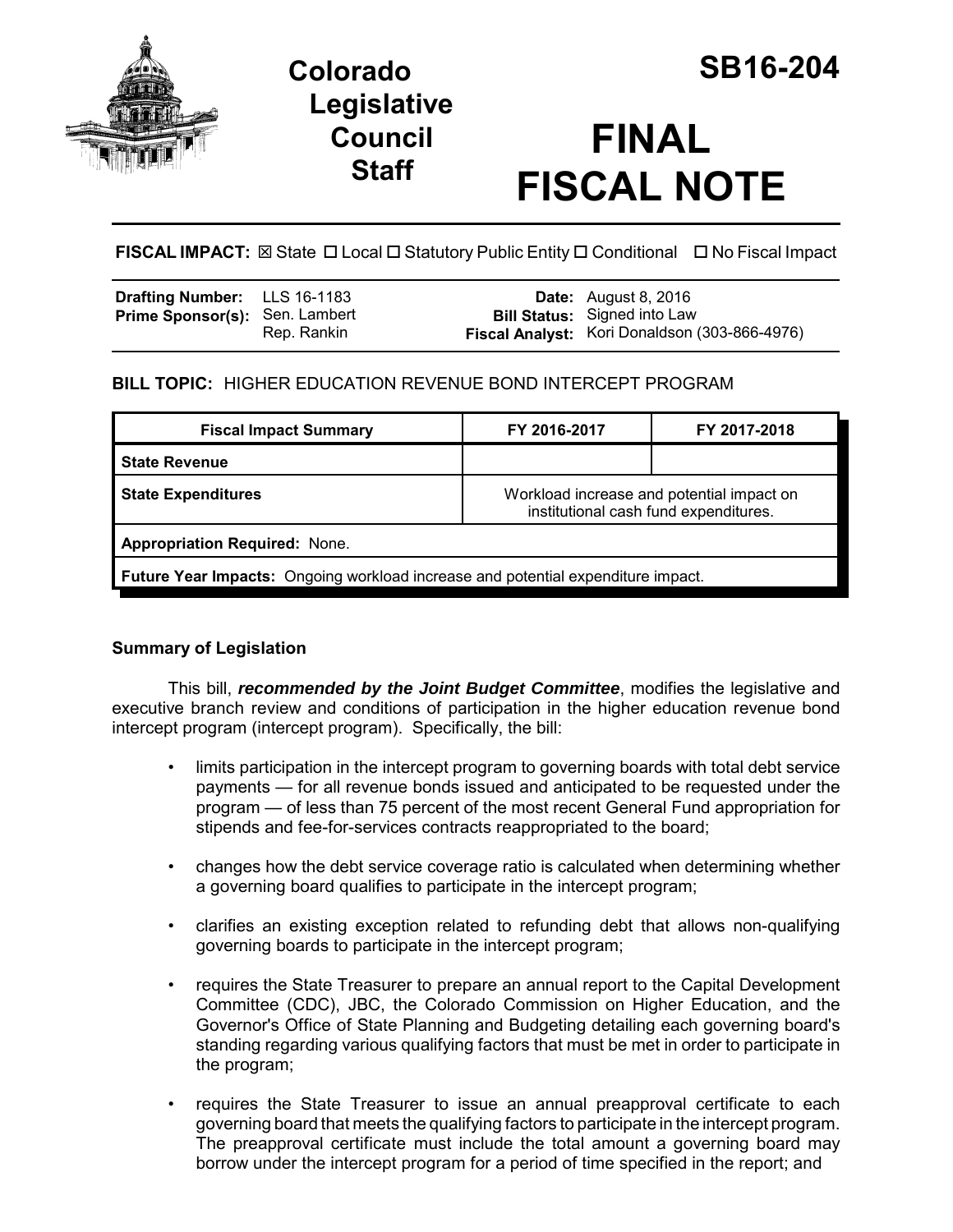

# **Colorado SB16-204 Legislative Council Staff**

# **FINAL FISCAL NOTE**

**FISCAL IMPACT:** ⊠ State **D** Local **D** Statutory Public Entity **D** Conditional **D** No Fiscal Impact

| <b>Drafting Number:</b> LLS 16-1183   |             | <b>Date:</b> August 8, 2016                                                          |
|---------------------------------------|-------------|--------------------------------------------------------------------------------------|
| <b>Prime Sponsor(s): Sen. Lambert</b> | Rep. Rankin | <b>Bill Status:</b> Signed into Law<br>Fiscal Analyst: Kori Donaldson (303-866-4976) |
|                                       |             |                                                                                      |

## **BILL TOPIC:** HIGHER EDUCATION REVENUE BOND INTERCEPT PROGRAM

| <b>Fiscal Impact Summary</b>                                                     | FY 2016-2017                                                                       | FY 2017-2018 |  |  |  |
|----------------------------------------------------------------------------------|------------------------------------------------------------------------------------|--------------|--|--|--|
| <b>State Revenue</b>                                                             |                                                                                    |              |  |  |  |
| <b>State Expenditures</b>                                                        | Workload increase and potential impact on<br>institutional cash fund expenditures. |              |  |  |  |
| <b>Appropriation Required: None.</b>                                             |                                                                                    |              |  |  |  |
| Future Year Impacts: Ongoing workload increase and potential expenditure impact. |                                                                                    |              |  |  |  |

### **Summary of Legislation**

This bill, *recommended by the Joint Budget Committee*, modifies the legislative and executive branch review and conditions of participation in the higher education revenue bond intercept program (intercept program). Specifically, the bill:

- limits participation in the intercept program to governing boards with total debt service payments — for all revenue bonds issued and anticipated to be requested under the program — of less than 75 percent of the most recent General Fund appropriation for stipends and fee-for-services contracts reappropriated to the board;
- changes how the debt service coverage ratio is calculated when determining whether a governing board qualifies to participate in the intercept program;
- clarifies an existing exception related to refunding debt that allows non-qualifying governing boards to participate in the intercept program;
- requires the State Treasurer to prepare an annual report to the Capital Development Committee (CDC), JBC, the Colorado Commission on Higher Education, and the Governor's Office of State Planning and Budgeting detailing each governing board's standing regarding various qualifying factors that must be met in order to participate in the program;
- requires the State Treasurer to issue an annual preapproval certificate to each governing board that meets the qualifying factors to participate in the intercept program. The preapproval certificate must include the total amount a governing board may borrow under the intercept program for a period of time specified in the report; and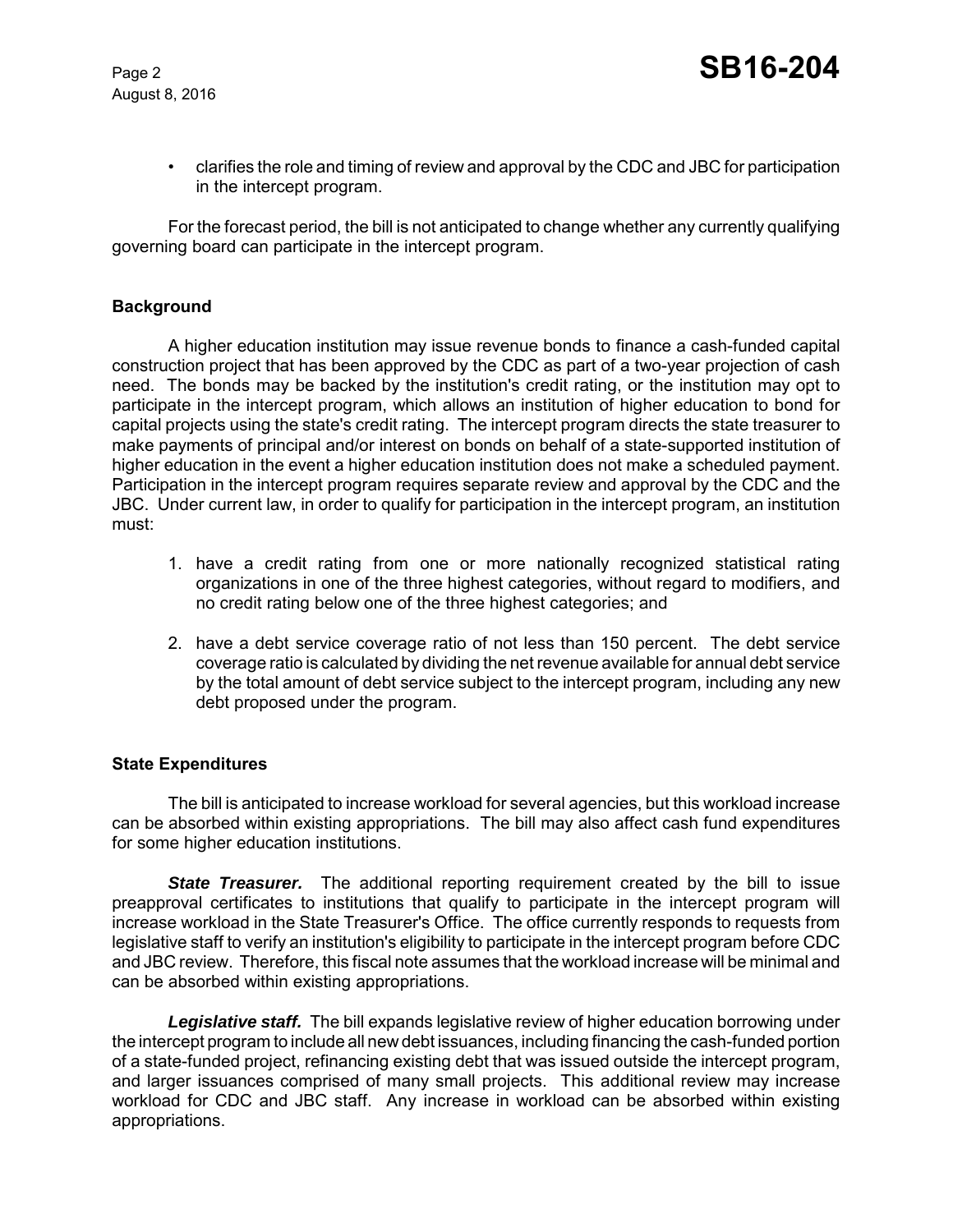August 8, 2016

• clarifies the role and timing of review and approval by the CDC and JBC for participation in the intercept program.

For the forecast period, the bill is not anticipated to change whether any currently qualifying governing board can participate in the intercept program.

#### **Background**

A higher education institution may issue revenue bonds to finance a cash-funded capital construction project that has been approved by the CDC as part of a two-year projection of cash need. The bonds may be backed by the institution's credit rating, or the institution may opt to participate in the intercept program, which allows an institution of higher education to bond for capital projects using the state's credit rating. The intercept program directs the state treasurer to make payments of principal and/or interest on bonds on behalf of a state-supported institution of higher education in the event a higher education institution does not make a scheduled payment. Participation in the intercept program requires separate review and approval by the CDC and the JBC. Under current law, in order to qualify for participation in the intercept program, an institution must:

- 1. have a credit rating from one or more nationally recognized statistical rating organizations in one of the three highest categories, without regard to modifiers, and no credit rating below one of the three highest categories; and
- 2. have a debt service coverage ratio of not less than 150 percent. The debt service coverage ratio is calculated by dividing the net revenue available for annual debt service by the total amount of debt service subject to the intercept program, including any new debt proposed under the program.

#### **State Expenditures**

The bill is anticipated to increase workload for several agencies, but this workload increase can be absorbed within existing appropriations. The bill may also affect cash fund expenditures for some higher education institutions.

**State Treasurer.** The additional reporting requirement created by the bill to issue preapproval certificates to institutions that qualify to participate in the intercept program will increase workload in the State Treasurer's Office. The office currently responds to requests from legislative staff to verify an institution's eligibility to participate in the intercept program before CDC and JBC review. Therefore, this fiscal note assumes that the workload increase will be minimal and can be absorbed within existing appropriations.

*Legislative staff.* The bill expands legislative review of higher education borrowing under the intercept program to include all new debt issuances, including financing the cash-funded portion of a state-funded project, refinancing existing debt that was issued outside the intercept program, and larger issuances comprised of many small projects. This additional review may increase workload for CDC and JBC staff. Any increase in workload can be absorbed within existing appropriations.